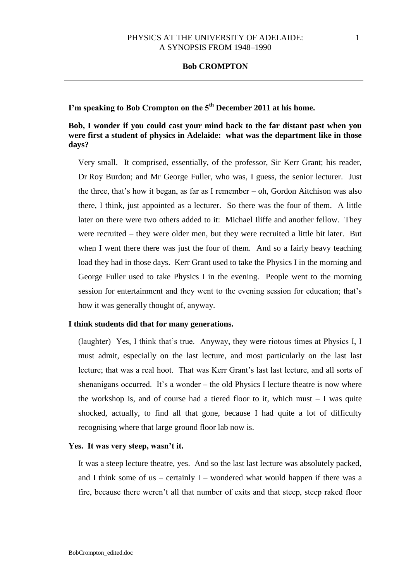**I'm speaking to Bob Crompton on the 5th December 2011 at his home.** 

# **Bob, I wonder if you could cast your mind back to the far distant past when you were first a student of physics in Adelaide: what was the department like in those days?**

Very small. It comprised, essentially, of the professor, Sir Kerr Grant; his reader, Dr Roy Burdon; and Mr George Fuller, who was, I guess, the senior lecturer. Just the three, that's how it began, as far as I remember – oh, Gordon Aitchison was also there, I think, just appointed as a lecturer. So there was the four of them. A little later on there were two others added to it: Michael Iliffe and another fellow. They were recruited – they were older men, but they were recruited a little bit later. But when I went there there was just the four of them. And so a fairly heavy teaching load they had in those days. Kerr Grant used to take the Physics I in the morning and George Fuller used to take Physics I in the evening. People went to the morning session for entertainment and they went to the evening session for education; that's how it was generally thought of, anyway.

## **I think students did that for many generations.**

(laughter) Yes, I think that's true. Anyway, they were riotous times at Physics I, I must admit, especially on the last lecture, and most particularly on the last last lecture; that was a real hoot. That was Kerr Grant's last last lecture, and all sorts of shenanigans occurred. It's a wonder – the old Physics I lecture theatre is now where the workshop is, and of course had a tiered floor to it, which must  $-1$  was quite shocked, actually, to find all that gone, because I had quite a lot of difficulty recognising where that large ground floor lab now is.

## **Yes. It was very steep, wasn't it.**

It was a steep lecture theatre, yes. And so the last last lecture was absolutely packed, and I think some of us – certainly  $I$  – wondered what would happen if there was a fire, because there weren't all that number of exits and that steep, steep raked floor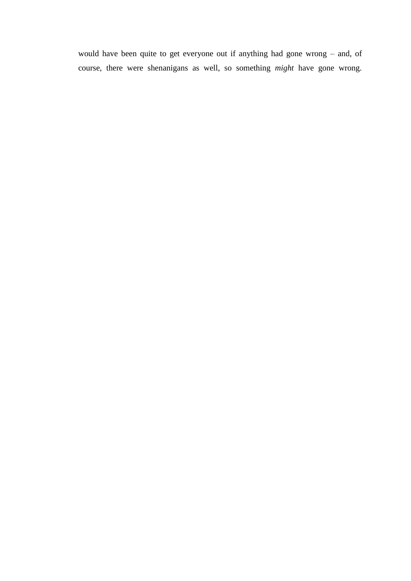would have been quite to get everyone out if anything had gone wrong – and, of course, there were shenanigans as well, so something *might* have gone wrong.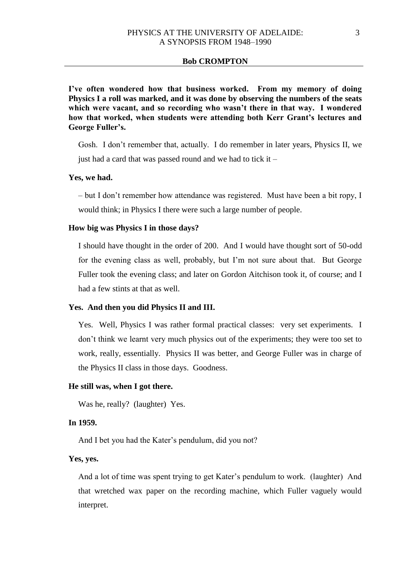**I've often wondered how that business worked. From my memory of doing Physics I a roll was marked, and it was done by observing the numbers of the seats which were vacant, and so recording who wasn't there in that way. I wondered how that worked, when students were attending both Kerr Grant's lectures and George Fuller's.** 

Gosh. I don't remember that, actually. I do remember in later years, Physics II, we just had a card that was passed round and we had to tick it –

### **Yes, we had.**

– but I don't remember how attendance was registered. Must have been a bit ropy, I would think; in Physics I there were such a large number of people.

#### **How big was Physics I in those days?**

I should have thought in the order of 200. And I would have thought sort of 50-odd for the evening class as well, probably, but I'm not sure about that. But George Fuller took the evening class; and later on Gordon Aitchison took it, of course; and I had a few stints at that as well.

## **Yes. And then you did Physics II and III.**

Yes. Well, Physics I was rather formal practical classes: very set experiments. I don't think we learnt very much physics out of the experiments; they were too set to work, really, essentially. Physics II was better, and George Fuller was in charge of the Physics II class in those days. Goodness.

#### **He still was, when I got there.**

Was he, really? (laughter) Yes.

### **In 1959.**

And I bet you had the Kater's pendulum, did you not?

#### **Yes, yes.**

And a lot of time was spent trying to get Kater's pendulum to work. (laughter) And that wretched wax paper on the recording machine, which Fuller vaguely would interpret.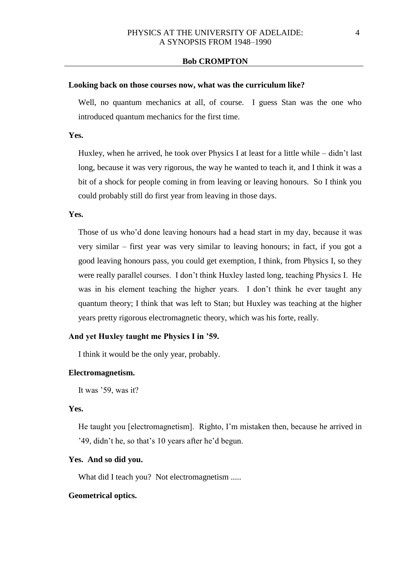### **Looking back on those courses now, what was the curriculum like?**

Well, no quantum mechanics at all, of course. I guess Stan was the one who introduced quantum mechanics for the first time.

## **Yes.**

Huxley, when he arrived, he took over Physics I at least for a little while – didn't last long, because it was very rigorous, the way he wanted to teach it, and I think it was a bit of a shock for people coming in from leaving or leaving honours. So I think you could probably still do first year from leaving in those days.

### **Yes.**

Those of us who'd done leaving honours had a head start in my day, because it was very similar – first year was very similar to leaving honours; in fact, if you got a good leaving honours pass, you could get exemption, I think, from Physics I, so they were really parallel courses. I don't think Huxley lasted long, teaching Physics I. He was in his element teaching the higher years. I don't think he ever taught any quantum theory; I think that was left to Stan; but Huxley was teaching at the higher years pretty rigorous electromagnetic theory, which was his forte, really.

# **And yet Huxley taught me Physics I in '59.**

I think it would be the only year, probably.

### **Electromagnetism.**

It was '59, was it?

## **Yes.**

He taught you [electromagnetism]. Righto, I'm mistaken then, because he arrived in '49, didn't he, so that's 10 years after he'd begun.

## **Yes. And so did you.**

What did I teach you? Not electromagnetism .....

## **Geometrical optics.**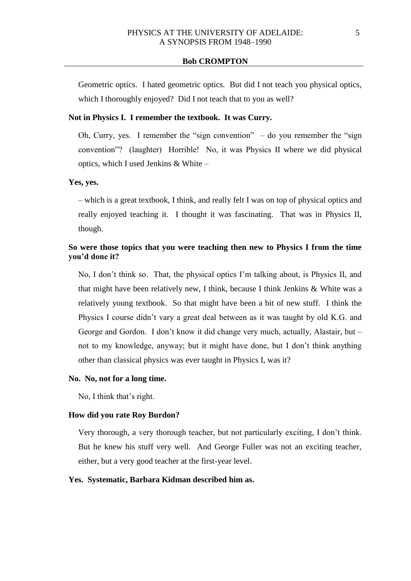Geometric optics. I hated geometric optics. But did I not teach you physical optics, which I thoroughly enjoyed? Did I not teach that to you as well?

# **Not in Physics I. I remember the textbook. It was Curry.**

Oh, Curry, yes. I remember the "sign convention"  $-$  do you remember the "sign convention"? (laughter) Horrible! No, it was Physics II where we did physical optics, which I used Jenkins & White –

### **Yes, yes.**

– which is a great textbook, I think, and really felt I was on top of physical optics and really enjoyed teaching it. I thought it was fascinating. That was in Physics II, though.

# **So were those topics that you were teaching then new to Physics I from the time you'd done it?**

No, I don't think so. That, the physical optics I'm talking about, is Physics II, and that might have been relatively new, I think, because I think Jenkins & White was a relatively young textbook. So that might have been a bit of new stuff. I think the Physics I course didn't vary a great deal between as it was taught by old K.G. and George and Gordon. I don't know it did change very much, actually, Alastair, but – not to my knowledge, anyway; but it might have done, but I don't think anything other than classical physics was ever taught in Physics I, was it?

## **No. No, not for a long time.**

No, I think that's right.

### **How did you rate Roy Burdon?**

Very thorough, a very thorough teacher, but not particularly exciting, I don't think. But he knew his stuff very well. And George Fuller was not an exciting teacher, either, but a very good teacher at the first-year level.

# **Yes. Systematic, Barbara Kidman described him as.**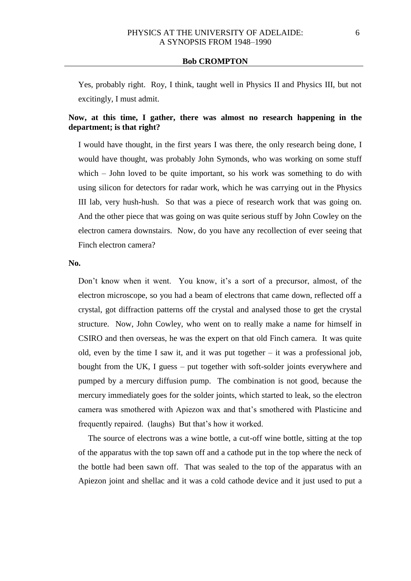Yes, probably right. Roy, I think, taught well in Physics II and Physics III, but not excitingly, I must admit.

# **Now, at this time, I gather, there was almost no research happening in the department; is that right?**

I would have thought, in the first years I was there, the only research being done, I would have thought, was probably John Symonds, who was working on some stuff which – John loved to be quite important, so his work was something to do with using silicon for detectors for radar work, which he was carrying out in the Physics III lab, very hush-hush. So that was a piece of research work that was going on. And the other piece that was going on was quite serious stuff by John Cowley on the electron camera downstairs. Now, do you have any recollection of ever seeing that Finch electron camera?

### **No.**

Don't know when it went. You know, it's a sort of a precursor, almost, of the electron microscope, so you had a beam of electrons that came down, reflected off a crystal, got diffraction patterns off the crystal and analysed those to get the crystal structure. Now, John Cowley, who went on to really make a name for himself in CSIRO and then overseas, he was the expert on that old Finch camera. It was quite old, even by the time I saw it, and it was put together  $-$  it was a professional job, bought from the UK, I guess – put together with soft-solder joints everywhere and pumped by a mercury diffusion pump. The combination is not good, because the mercury immediately goes for the solder joints, which started to leak, so the electron camera was smothered with Apiezon wax and that's smothered with Plasticine and frequently repaired. (laughs) But that's how it worked.

The source of electrons was a wine bottle, a cut-off wine bottle, sitting at the top of the apparatus with the top sawn off and a cathode put in the top where the neck of the bottle had been sawn off. That was sealed to the top of the apparatus with an Apiezon joint and shellac and it was a cold cathode device and it just used to put a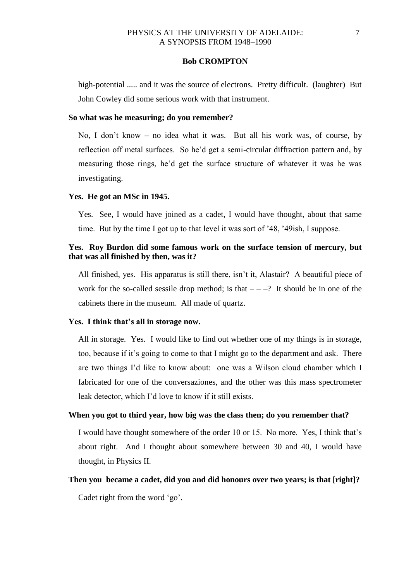high-potential ..... and it was the source of electrons. Pretty difficult. (laughter) But John Cowley did some serious work with that instrument.

## **So what was he measuring; do you remember?**

No, I don't know – no idea what it was. But all his work was, of course, by reflection off metal surfaces. So he'd get a semi-circular diffraction pattern and, by measuring those rings, he'd get the surface structure of whatever it was he was investigating.

### **Yes. He got an MSc in 1945.**

Yes. See, I would have joined as a cadet, I would have thought, about that same time. But by the time I got up to that level it was sort of '48, '49ish, I suppose.

# **Yes. Roy Burdon did some famous work on the surface tension of mercury, but that was all finished by then, was it?**

All finished, yes. His apparatus is still there, isn't it, Alastair? A beautiful piece of work for the so-called sessile drop method; is that  $---$ ? It should be in one of the cabinets there in the museum. All made of quartz.

## **Yes. I think that's all in storage now.**

All in storage. Yes. I would like to find out whether one of my things is in storage, too, because if it's going to come to that I might go to the department and ask. There are two things I'd like to know about: one was a Wilson cloud chamber which I fabricated for one of the conversaziones, and the other was this mass spectrometer leak detector, which I'd love to know if it still exists.

### **When you got to third year, how big was the class then; do you remember that?**

I would have thought somewhere of the order 10 or 15. No more. Yes, I think that's about right. And I thought about somewhere between 30 and 40, I would have thought, in Physics II.

### **Then you became a cadet, did you and did honours over two years; is that [right]?**

Cadet right from the word 'go'.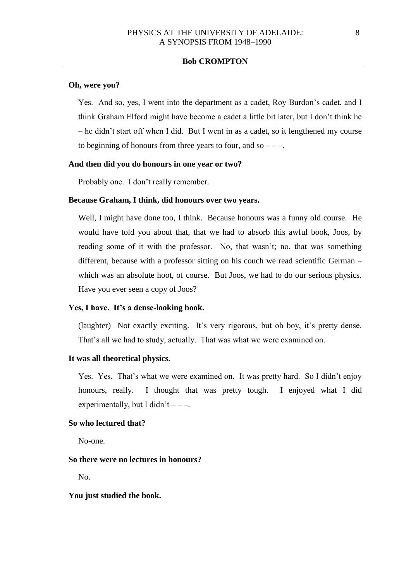#### **Oh, were you?**

Yes. And so, yes, I went into the department as a cadet, Roy Burdon's cadet, and I think Graham Elford might have become a cadet a little bit later, but I don't think he – he didn't start off when I did. But I went in as a cadet, so it lengthened my course to beginning of honours from three years to four, and so  $---$ .

#### **And then did you do honours in one year or two?**

Probably one. I don't really remember.

### **Because Graham, I think, did honours over two years.**

Well, I might have done too, I think. Because honours was a funny old course. He would have told you about that, that we had to absorb this awful book, Joos, by reading some of it with the professor. No, that wasn't; no, that was something different, because with a professor sitting on his couch we read scientific German – which was an absolute hoot, of course. But Joos, we had to do our serious physics. Have you ever seen a copy of Joos?

### **Yes, I have. It's a dense-looking book.**

(laughter) Not exactly exciting. It's very rigorous, but oh boy, it's pretty dense. That's all we had to study, actually. That was what we were examined on.

## **It was all theoretical physics.**

Yes. Yes. That's what we were examined on. It was pretty hard. So I didn't enjoy honours, really. I thought that was pretty tough. I enjoyed what I did experimentally, but I didn't  $---$ .

#### **So who lectured that?**

No-one.

### **So there were no lectures in honours?**

No.

## **You just studied the book.**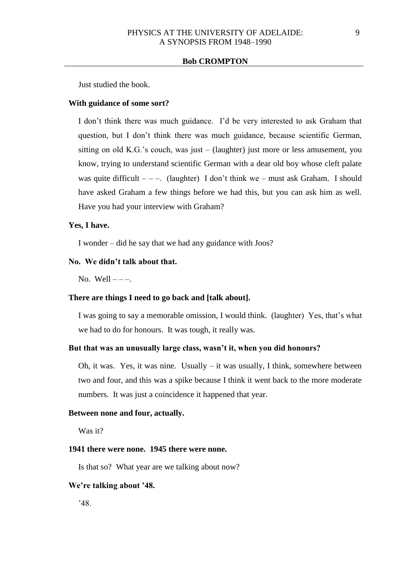Just studied the book.

## **With guidance of some sort?**

I don't think there was much guidance. I'd be very interested to ask Graham that question, but I don't think there was much guidance, because scientific German, sitting on old K.G.'s couch, was just – (laughter) just more or less amusement, you know, trying to understand scientific German with a dear old boy whose cleft palate was quite difficult  $---$ . (laughter) I don't think we – must ask Graham. I should have asked Graham a few things before we had this, but you can ask him as well. Have you had your interview with Graham?

## **Yes, I have.**

I wonder – did he say that we had any guidance with Joos?

### **No. We didn't talk about that.**

No. Well  $---$ .

### **There are things I need to go back and [talk about].**

I was going to say a memorable omission, I would think. (laughter) Yes, that's what we had to do for honours. It was tough, it really was.

### **But that was an unusually large class, wasn't it, when you did honours?**

Oh, it was. Yes, it was nine. Usually  $-$  it was usually, I think, somewhere between two and four, and this was a spike because I think it went back to the more moderate numbers. It was just a coincidence it happened that year.

## **Between none and four, actually.**

Was it?

# **1941 there were none. 1945 there were none.**

Is that so? What year are we talking about now?

#### **We're talking about '48.**

'48.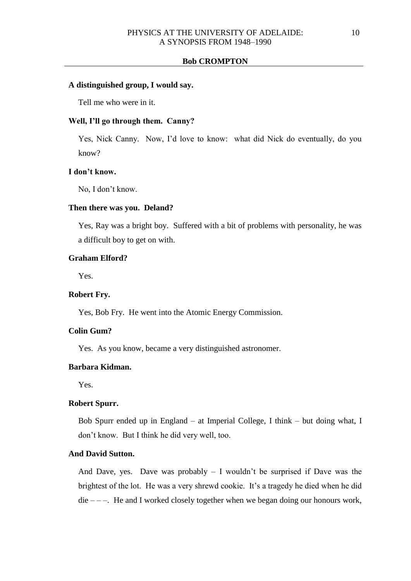### **A distinguished group, I would say.**

Tell me who were in it.

## **Well, I'll go through them. Canny?**

Yes, Nick Canny. Now, I'd love to know: what did Nick do eventually, do you know?

## **I don't know.**

No, I don't know.

## **Then there was you. Deland?**

Yes, Ray was a bright boy. Suffered with a bit of problems with personality, he was a difficult boy to get on with.

## **Graham Elford?**

Yes.

## **Robert Fry.**

Yes, Bob Fry. He went into the Atomic Energy Commission.

# **Colin Gum?**

Yes. As you know, became a very distinguished astronomer.

# **Barbara Kidman.**

Yes.

# **Robert Spurr.**

Bob Spurr ended up in England – at Imperial College, I think – but doing what, I don't know. But I think he did very well, too.

## **And David Sutton.**

And Dave, yes. Dave was probably  $- I$  wouldn't be surprised if Dave was the brightest of the lot. He was a very shrewd cookie. It's a tragedy he died when he did  $die ---$ . He and I worked closely together when we began doing our honours work,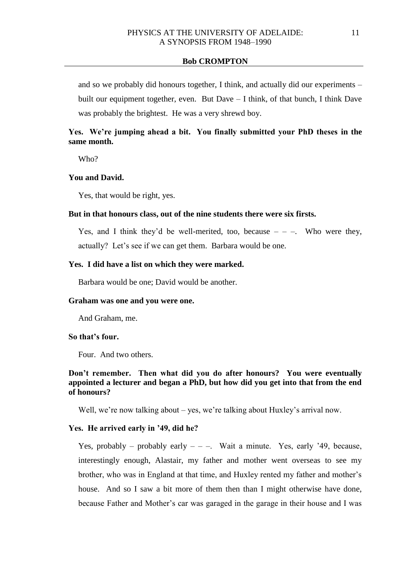and so we probably did honours together, I think, and actually did our experiments – built our equipment together, even. But Dave – I think, of that bunch, I think Dave was probably the brightest. He was a very shrewd boy.

# **Yes. We're jumping ahead a bit. You finally submitted your PhD theses in the same month.**

Who?

## **You and David.**

Yes, that would be right, yes.

## **But in that honours class, out of the nine students there were six firsts.**

Yes, and I think they'd be well-merited, too, because  $- -$ . Who were they, actually? Let's see if we can get them. Barbara would be one.

## **Yes. I did have a list on which they were marked.**

Barbara would be one; David would be another.

### **Graham was one and you were one.**

And Graham, me.

### **So that's four.**

Four. And two others.

# **Don't remember. Then what did you do after honours? You were eventually appointed a lecturer and began a PhD, but how did you get into that from the end of honours?**

Well, we're now talking about – yes, we're talking about Huxley's arrival now.

### **Yes. He arrived early in '49, did he?**

Yes, probably – probably early  $-$  –  $-$ . Wait a minute. Yes, early '49, because, interestingly enough, Alastair, my father and mother went overseas to see my brother, who was in England at that time, and Huxley rented my father and mother's house. And so I saw a bit more of them then than I might otherwise have done, because Father and Mother's car was garaged in the garage in their house and I was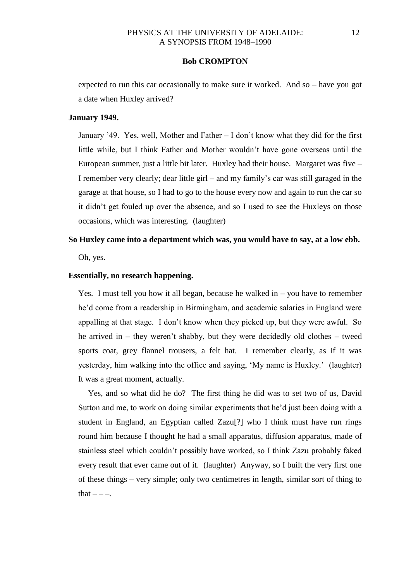expected to run this car occasionally to make sure it worked. And so – have you got a date when Huxley arrived?

## **January 1949.**

January '49. Yes, well, Mother and Father – I don't know what they did for the first little while, but I think Father and Mother wouldn't have gone overseas until the European summer, just a little bit later. Huxley had their house. Margaret was five – I remember very clearly; dear little girl – and my family's car was still garaged in the garage at that house, so I had to go to the house every now and again to run the car so it didn't get fouled up over the absence, and so I used to see the Huxleys on those occasions, which was interesting. (laughter)

# **So Huxley came into a department which was, you would have to say, at a low ebb.**

Oh, yes.

# **Essentially, no research happening.**

Yes. I must tell you how it all began, because he walked in  $-$  you have to remember he'd come from a readership in Birmingham, and academic salaries in England were appalling at that stage. I don't know when they picked up, but they were awful. So he arrived in – they weren't shabby, but they were decidedly old clothes – tweed sports coat, grey flannel trousers, a felt hat. I remember clearly, as if it was yesterday, him walking into the office and saying, 'My name is Huxley.' (laughter) It was a great moment, actually.

Yes, and so what did he do? The first thing he did was to set two of us, David Sutton and me, to work on doing similar experiments that he'd just been doing with a student in England, an Egyptian called Zazu[?] who I think must have run rings round him because I thought he had a small apparatus, diffusion apparatus, made of stainless steel which couldn't possibly have worked, so I think Zazu probably faked every result that ever came out of it. (laughter) Anyway, so I built the very first one of these things – very simple; only two centimetres in length, similar sort of thing to that  $---$ .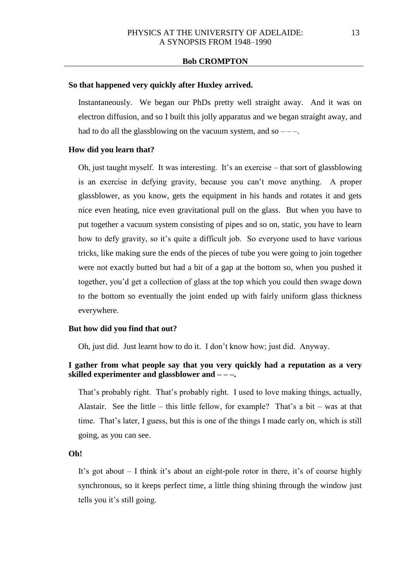### **So that happened very quickly after Huxley arrived.**

Instantaneously. We began our PhDs pretty well straight away. And it was on electron diffusion, and so I built this jolly apparatus and we began straight away, and had to do all the glassblowing on the vacuum system, and so  $---$ .

## **How did you learn that?**

Oh, just taught myself. It was interesting. It's an exercise – that sort of glassblowing is an exercise in defying gravity, because you can't move anything. A proper glassblower, as you know, gets the equipment in his hands and rotates it and gets nice even heating, nice even gravitational pull on the glass. But when you have to put together a vacuum system consisting of pipes and so on, static, you have to learn how to defy gravity, so it's quite a difficult job. So everyone used to have various tricks, like making sure the ends of the pieces of tube you were going to join together were not exactly butted but had a bit of a gap at the bottom so, when you pushed it together, you'd get a collection of glass at the top which you could then swage down to the bottom so eventually the joint ended up with fairly uniform glass thickness everywhere.

## **But how did you find that out?**

Oh, just did. Just learnt how to do it. I don't know how; just did. Anyway.

# **I gather from what people say that you very quickly had a reputation as a very skilled experimenter and glassblower and – – –.**

That's probably right. That's probably right. I used to love making things, actually, Alastair. See the little – this little fellow, for example? That's a bit – was at that time. That's later, I guess, but this is one of the things I made early on, which is still going, as you can see.

#### **Oh!**

It's got about – I think it's about an eight-pole rotor in there, it's of course highly synchronous, so it keeps perfect time, a little thing shining through the window just tells you it's still going.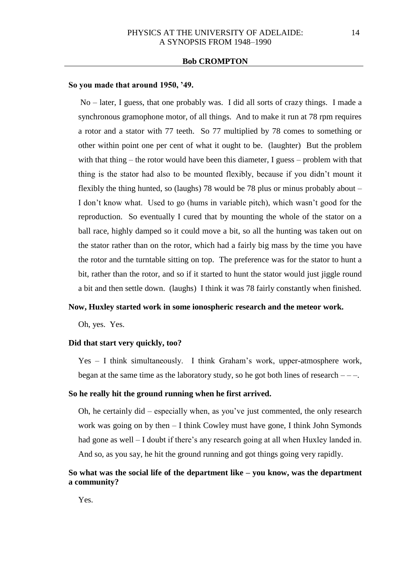### **So you made that around 1950, '49.**

No – later, I guess, that one probably was. I did all sorts of crazy things. I made a synchronous gramophone motor, of all things. And to make it run at 78 rpm requires a rotor and a stator with 77 teeth. So 77 multiplied by 78 comes to something or other within point one per cent of what it ought to be. (laughter) But the problem with that thing – the rotor would have been this diameter, I guess – problem with that thing is the stator had also to be mounted flexibly, because if you didn't mount it flexibly the thing hunted, so (laughs) 78 would be 78 plus or minus probably about – I don't know what. Used to go (hums in variable pitch), which wasn't good for the reproduction. So eventually I cured that by mounting the whole of the stator on a ball race, highly damped so it could move a bit, so all the hunting was taken out on the stator rather than on the rotor, which had a fairly big mass by the time you have the rotor and the turntable sitting on top. The preference was for the stator to hunt a bit, rather than the rotor, and so if it started to hunt the stator would just jiggle round a bit and then settle down. (laughs) I think it was 78 fairly constantly when finished.

## **Now, Huxley started work in some ionospheric research and the meteor work.**

Oh, yes. Yes.

## **Did that start very quickly, too?**

Yes – I think simultaneously. I think Graham's work, upper-atmosphere work, began at the same time as the laboratory study, so he got both lines of research  $---$ .

## **So he really hit the ground running when he first arrived.**

Oh, he certainly did – especially when, as you've just commented, the only research work was going on by then – I think Cowley must have gone, I think John Symonds had gone as well – I doubt if there's any research going at all when Huxley landed in. And so, as you say, he hit the ground running and got things going very rapidly.

# **So what was the social life of the department like – you know, was the department a community?**

Yes.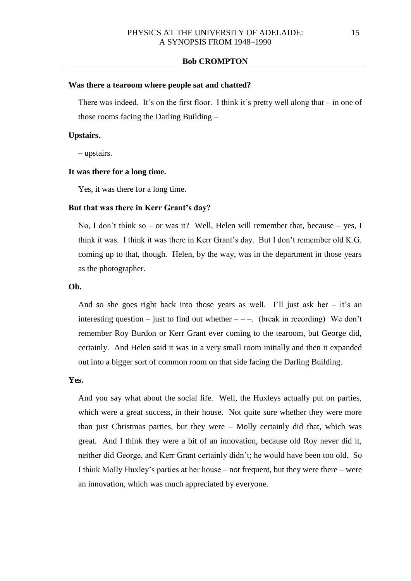## **Was there a tearoom where people sat and chatted?**

There was indeed. It's on the first floor. I think it's pretty well along that  $-$  in one of those rooms facing the Darling Building –

#### **Upstairs.**

– upstairs.

## **It was there for a long time.**

Yes, it was there for a long time.

## **But that was there in Kerr Grant's day?**

No, I don't think so – or was it? Well, Helen will remember that, because – yes, I think it was. I think it was there in Kerr Grant's day. But I don't remember old K.G. coming up to that, though. Helen, by the way, was in the department in those years as the photographer.

## **Oh.**

And so she goes right back into those years as well. I'll just ask her – it's an interesting question – just to find out whether  $---$ . (break in recording) We don't remember Roy Burdon or Kerr Grant ever coming to the tearoom, but George did, certainly. And Helen said it was in a very small room initially and then it expanded out into a bigger sort of common room on that side facing the Darling Building.

#### **Yes.**

And you say what about the social life. Well, the Huxleys actually put on parties, which were a great success, in their house. Not quite sure whether they were more than just Christmas parties, but they were – Molly certainly did that, which was great. And I think they were a bit of an innovation, because old Roy never did it, neither did George, and Kerr Grant certainly didn't; he would have been too old. So I think Molly Huxley's parties at her house – not frequent, but they were there – were an innovation, which was much appreciated by everyone.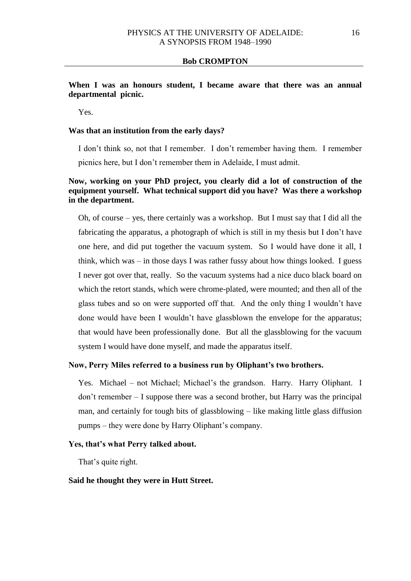# **When I was an honours student, I became aware that there was an annual departmental picnic.**

Yes.

## **Was that an institution from the early days?**

I don't think so, not that I remember. I don't remember having them. I remember picnics here, but I don't remember them in Adelaide, I must admit.

# **Now, working on your PhD project, you clearly did a lot of construction of the equipment yourself. What technical support did you have? Was there a workshop in the department.**

Oh, of course – yes, there certainly was a workshop. But I must say that I did all the fabricating the apparatus, a photograph of which is still in my thesis but I don't have one here, and did put together the vacuum system. So I would have done it all, I think, which was – in those days I was rather fussy about how things looked. I guess I never got over that, really. So the vacuum systems had a nice duco black board on which the retort stands, which were chrome-plated, were mounted; and then all of the glass tubes and so on were supported off that. And the only thing I wouldn't have done would have been I wouldn't have glassblown the envelope for the apparatus; that would have been professionally done. But all the glassblowing for the vacuum system I would have done myself, and made the apparatus itself.

### **Now, Perry Miles referred to a business run by Oliphant's two brothers.**

Yes. Michael – not Michael; Michael's the grandson. Harry. Harry Oliphant. I  $don't remember - I$  suppose there was a second brother, but Harry was the principal man, and certainly for tough bits of glassblowing – like making little glass diffusion pumps – they were done by Harry Oliphant's company.

## **Yes, that's what Perry talked about.**

That's quite right.

## **Said he thought they were in Hutt Street.**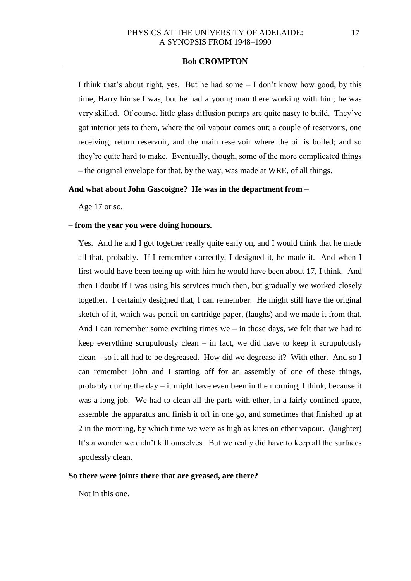I think that's about right, yes. But he had some – I don't know how good, by this time, Harry himself was, but he had a young man there working with him; he was very skilled. Of course, little glass diffusion pumps are quite nasty to build. They've got interior jets to them, where the oil vapour comes out; a couple of reservoirs, one receiving, return reservoir, and the main reservoir where the oil is boiled; and so they're quite hard to make. Eventually, though, some of the more complicated things – the original envelope for that, by the way, was made at WRE, of all things.

## **And what about John Gascoigne? He was in the department from –**

Age 17 or so.

## **– from the year you were doing honours.**

Yes. And he and I got together really quite early on, and I would think that he made all that, probably. If I remember correctly, I designed it, he made it. And when I first would have been teeing up with him he would have been about 17, I think. And then I doubt if I was using his services much then, but gradually we worked closely together. I certainly designed that, I can remember. He might still have the original sketch of it, which was pencil on cartridge paper, (laughs) and we made it from that. And I can remember some exciting times  $we$  – in those days, we felt that we had to keep everything scrupulously clean  $-$  in fact, we did have to keep it scrupulously clean – so it all had to be degreased. How did we degrease it? With ether. And so I can remember John and I starting off for an assembly of one of these things, probably during the day – it might have even been in the morning, I think, because it was a long job. We had to clean all the parts with ether, in a fairly confined space, assemble the apparatus and finish it off in one go, and sometimes that finished up at 2 in the morning, by which time we were as high as kites on ether vapour. (laughter) It's a wonder we didn't kill ourselves. But we really did have to keep all the surfaces spotlessly clean.

## **So there were joints there that are greased, are there?**

Not in this one.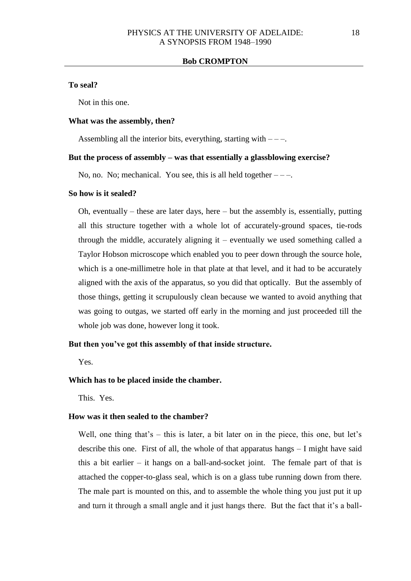**To seal?** 

Not in this one.

#### **What was the assembly, then?**

Assembling all the interior bits, everything, starting with  $---$ .

### **But the process of assembly – was that essentially a glassblowing exercise?**

No, no. No; mechanical. You see, this is all held together  $---$ .

## **So how is it sealed?**

Oh, eventually – these are later days, here – but the assembly is, essentially, putting all this structure together with a whole lot of accurately-ground spaces, tie-rods through the middle, accurately aligning it – eventually we used something called a Taylor Hobson microscope which enabled you to peer down through the source hole, which is a one-millimetre hole in that plate at that level, and it had to be accurately aligned with the axis of the apparatus, so you did that optically. But the assembly of those things, getting it scrupulously clean because we wanted to avoid anything that was going to outgas, we started off early in the morning and just proceeded till the whole job was done, however long it took.

## **But then you've got this assembly of that inside structure.**

Yes.

## **Which has to be placed inside the chamber.**

This. Yes.

### **How was it then sealed to the chamber?**

Well, one thing that's – this is later, a bit later on in the piece, this one, but let's describe this one. First of all, the whole of that apparatus hangs – I might have said this a bit earlier – it hangs on a ball-and-socket joint. The female part of that is attached the copper-to-glass seal, which is on a glass tube running down from there. The male part is mounted on this, and to assemble the whole thing you just put it up and turn it through a small angle and it just hangs there. But the fact that it's a ball-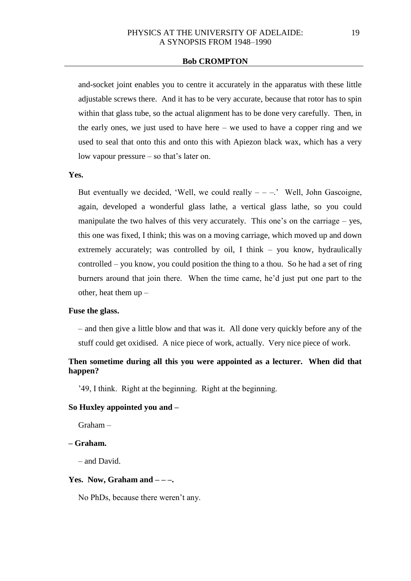and-socket joint enables you to centre it accurately in the apparatus with these little adjustable screws there. And it has to be very accurate, because that rotor has to spin within that glass tube, so the actual alignment has to be done very carefully. Then, in the early ones, we just used to have here – we used to have a copper ring and we used to seal that onto this and onto this with Apiezon black wax, which has a very low vapour pressure – so that's later on.

### **Yes.**

But eventually we decided, 'Well, we could really  $---$ .' Well, John Gascoigne, again, developed a wonderful glass lathe, a vertical glass lathe, so you could manipulate the two halves of this very accurately. This one's on the carriage – yes, this one was fixed, I think; this was on a moving carriage, which moved up and down extremely accurately; was controlled by oil, I think – you know, hydraulically controlled – you know, you could position the thing to a thou. So he had a set of ring burners around that join there. When the time came, he'd just put one part to the other, heat them up –

## **Fuse the glass.**

– and then give a little blow and that was it. All done very quickly before any of the stuff could get oxidised. A nice piece of work, actually. Very nice piece of work.

# **Then sometime during all this you were appointed as a lecturer. When did that happen?**

'49, I think. Right at the beginning. Right at the beginning.

## **So Huxley appointed you and –**

Graham –

## **– Graham.**

– and David.

## **Yes. Now, Graham and – – –.**

No PhDs, because there weren't any.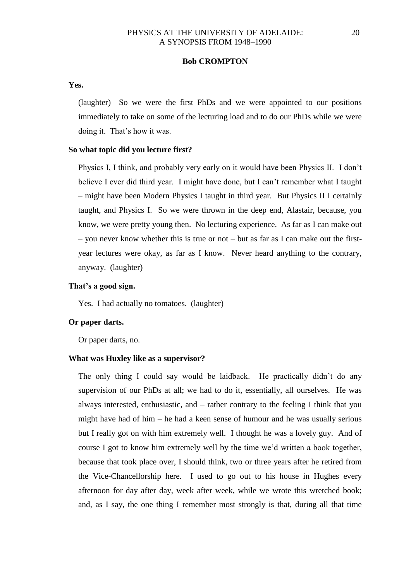**Yes.** 

(laughter) So we were the first PhDs and we were appointed to our positions immediately to take on some of the lecturing load and to do our PhDs while we were doing it. That's how it was.

## **So what topic did you lecture first?**

Physics I, I think, and probably very early on it would have been Physics II. I don't believe I ever did third year. I might have done, but I can't remember what I taught – might have been Modern Physics I taught in third year. But Physics II I certainly taught, and Physics I. So we were thrown in the deep end, Alastair, because, you know, we were pretty young then. No lecturing experience. As far as I can make out – you never know whether this is true or not – but as far as I can make out the firstyear lectures were okay, as far as I know. Never heard anything to the contrary, anyway. (laughter)

## **That's a good sign.**

Yes. I had actually no tomatoes. (laughter)

## **Or paper darts.**

Or paper darts, no.

### **What was Huxley like as a supervisor?**

The only thing I could say would be laidback. He practically didn't do any supervision of our PhDs at all; we had to do it, essentially, all ourselves. He was always interested, enthusiastic, and – rather contrary to the feeling I think that you might have had of him – he had a keen sense of humour and he was usually serious but I really got on with him extremely well. I thought he was a lovely guy. And of course I got to know him extremely well by the time we'd written a book together, because that took place over, I should think, two or three years after he retired from the Vice-Chancellorship here. I used to go out to his house in Hughes every afternoon for day after day, week after week, while we wrote this wretched book; and, as I say, the one thing I remember most strongly is that, during all that time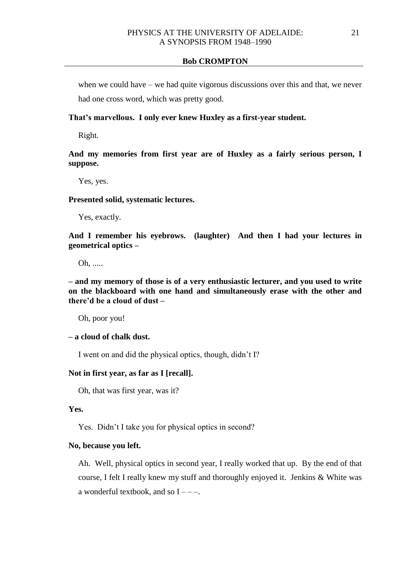when we could have – we had quite vigorous discussions over this and that, we never had one cross word, which was pretty good.

## **That's marvellous. I only ever knew Huxley as a first-year student.**

Right.

**And my memories from first year are of Huxley as a fairly serious person, I suppose.** 

Yes, yes.

**Presented solid, systematic lectures.**

Yes, exactly.

**And I remember his eyebrows. (laughter) And then I had your lectures in geometrical optics –**

Oh, .....

**– and my memory of those is of a very enthusiastic lecturer, and you used to write on the blackboard with one hand and simultaneously erase with the other and there'd be a cloud of dust –**

Oh, poor you!

## **– a cloud of chalk dust.**

I went on and did the physical optics, though, didn't I?

## **Not in first year, as far as I [recall].**

Oh, that was first year, was it?

## **Yes.**

Yes. Didn't I take you for physical optics in second?

#### **No, because you left.**

Ah. Well, physical optics in second year, I really worked that up. By the end of that course, I felt I really knew my stuff and thoroughly enjoyed it. Jenkins & White was a wonderful textbook, and so  $I$  – –.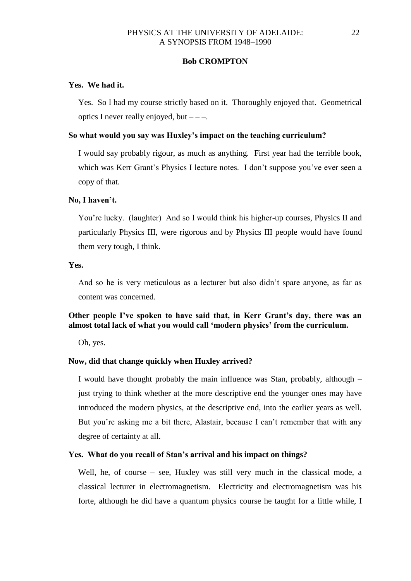## **Yes. We had it.**

Yes. So I had my course strictly based on it. Thoroughly enjoyed that. Geometrical optics I never really enjoyed, but  $---$ .

## **So what would you say was Huxley's impact on the teaching curriculum?**

I would say probably rigour, as much as anything. First year had the terrible book, which was Kerr Grant's Physics I lecture notes. I don't suppose you've ever seen a copy of that.

## **No, I haven't.**

You're lucky. (laughter) And so I would think his higher-up courses, Physics II and particularly Physics III, were rigorous and by Physics III people would have found them very tough, I think.

#### **Yes.**

And so he is very meticulous as a lecturer but also didn't spare anyone, as far as content was concerned.

# **Other people I've spoken to have said that, in Kerr Grant's day, there was an almost total lack of what you would call 'modern physics' from the curriculum.**

Oh, yes.

## **Now, did that change quickly when Huxley arrived?**

I would have thought probably the main influence was Stan, probably, although – just trying to think whether at the more descriptive end the younger ones may have introduced the modern physics, at the descriptive end, into the earlier years as well. But you're asking me a bit there, Alastair, because I can't remember that with any degree of certainty at all.

#### **Yes. What do you recall of Stan's arrival and his impact on things?**

Well, he, of course – see, Huxley was still very much in the classical mode, a classical lecturer in electromagnetism. Electricity and electromagnetism was his forte, although he did have a quantum physics course he taught for a little while, I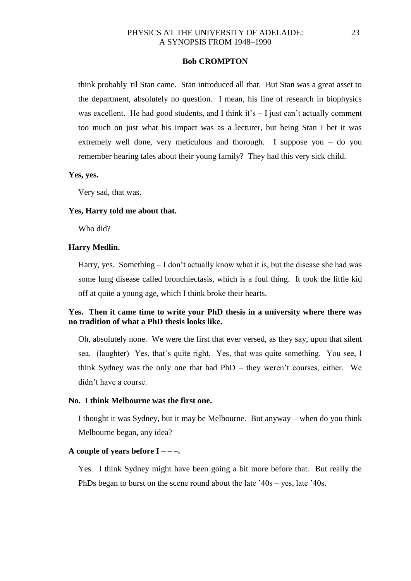think probably 'til Stan came. Stan introduced all that. But Stan was a great asset to the department, absolutely no question. I mean, his line of research in biophysics was excellent. He had good students, and I think it's  $-$  I just can't actually comment too much on just what his impact was as a lecturer, but being Stan I bet it was extremely well done, very meticulous and thorough. I suppose you – do you remember hearing tales about their young family? They had this very sick child.

#### **Yes, yes.**

Very sad, that was.

## **Yes, Harry told me about that.**

Who did?

## **Harry Medlin.**

Harry, yes. Something  $-1$  don't actually know what it is, but the disease she had was some lung disease called bronchiectasis, which is a foul thing. It took the little kid off at quite a young age, which I think broke their hearts.

# **Yes. Then it came time to write your PhD thesis in a university where there was no tradition of what a PhD thesis looks like.**

Oh, absolutely none. We were the first that ever versed, as they say, upon that silent sea. (laughter) Yes, that's quite right. Yes, that was quite something. You see, I think Sydney was the only one that had PhD – they weren't courses, either. We didn't have a course.

### **No. I think Melbourne was the first one.**

I thought it was Sydney, but it may be Melbourne. But anyway – when do you think Melbourne began, any idea?

## **A couple of years before I – – –.**

Yes. I think Sydney might have been going a bit more before that. But really the PhDs began to burst on the scene round about the late '40s – yes, late '40s.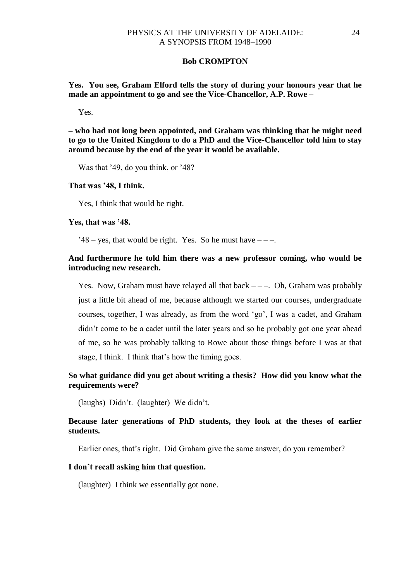**Yes. You see, Graham Elford tells the story of during your honours year that he made an appointment to go and see the Vice-Chancellor, A.P. Rowe –**

Yes.

**– who had not long been appointed, and Graham was thinking that he might need to go to the United Kingdom to do a PhD and the Vice-Chancellor told him to stay around because by the end of the year it would be available.**

Was that '49, do you think, or '48?

### **That was '48, I think.**

Yes, I think that would be right.

## **Yes, that was '48.**

'48 – yes, that would be right. Yes. So he must have  $---$ .

# **And furthermore he told him there was a new professor coming, who would be introducing new research.**

Yes. Now, Graham must have relayed all that back  $---$ . Oh, Graham was probably just a little bit ahead of me, because although we started our courses, undergraduate courses, together, I was already, as from the word 'go', I was a cadet, and Graham didn't come to be a cadet until the later years and so he probably got one year ahead of me, so he was probably talking to Rowe about those things before I was at that stage, I think. I think that's how the timing goes.

# **So what guidance did you get about writing a thesis? How did you know what the requirements were?**

(laughs) Didn't. (laughter) We didn't.

# **Because later generations of PhD students, they look at the theses of earlier students.**

Earlier ones, that's right. Did Graham give the same answer, do you remember?

## **I don't recall asking him that question.**

(laughter) I think we essentially got none.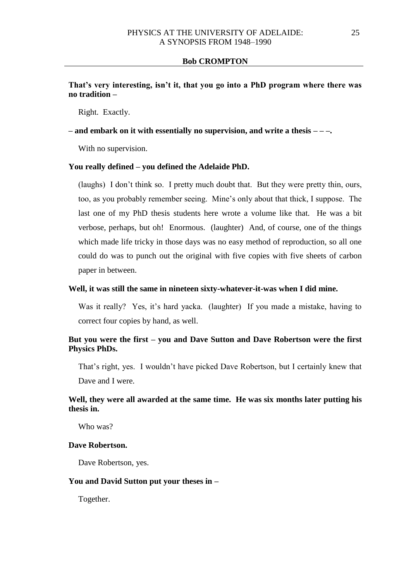# **That's very interesting, isn't it, that you go into a PhD program where there was no tradition –**

Right. Exactly.

## **– and embark on it with essentially no supervision, and write a thesis – – –.**

With no supervision.

## **You really defined – you defined the Adelaide PhD.**

(laughs) I don't think so. I pretty much doubt that. But they were pretty thin, ours, too, as you probably remember seeing. Mine's only about that thick, I suppose. The last one of my PhD thesis students here wrote a volume like that. He was a bit verbose, perhaps, but oh! Enormous. (laughter) And, of course, one of the things which made life tricky in those days was no easy method of reproduction, so all one could do was to punch out the original with five copies with five sheets of carbon paper in between.

## **Well, it was still the same in nineteen sixty-whatever-it-was when I did mine.**

Was it really? Yes, it's hard yacka. (laughter) If you made a mistake, having to correct four copies by hand, as well.

# **But you were the first – you and Dave Sutton and Dave Robertson were the first Physics PhDs.**

That's right, yes. I wouldn't have picked Dave Robertson, but I certainly knew that Dave and I were.

# **Well, they were all awarded at the same time. He was six months later putting his thesis in.**

Who was?

## **Dave Robertson.**

Dave Robertson, yes.

## **You and David Sutton put your theses in –**

Together.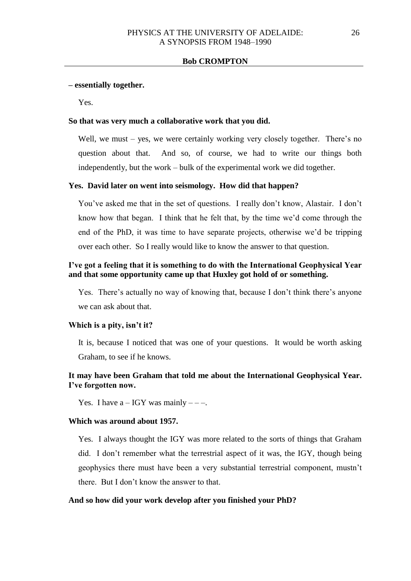#### **– essentially together.**

Yes.

## **So that was very much a collaborative work that you did.**

Well, we must – yes, we were certainly working very closely together. There's no question about that. And so, of course, we had to write our things both independently, but the work – bulk of the experimental work we did together.

## **Yes. David later on went into seismology. How did that happen?**

You've asked me that in the set of questions. I really don't know, Alastair. I don't know how that began. I think that he felt that, by the time we'd come through the end of the PhD, it was time to have separate projects, otherwise we'd be tripping over each other. So I really would like to know the answer to that question.

# **I've got a feeling that it is something to do with the International Geophysical Year and that some opportunity came up that Huxley got hold of or something.**

Yes. There's actually no way of knowing that, because I don't think there's anyone we can ask about that.

### **Which is a pity, isn't it?**

It is, because I noticed that was one of your questions. It would be worth asking Graham, to see if he knows.

# **It may have been Graham that told me about the International Geophysical Year. I've forgotten now.**

Yes. I have  $a - IGY$  was mainly  $---$ .

## **Which was around about 1957.**

Yes. I always thought the IGY was more related to the sorts of things that Graham did. I don't remember what the terrestrial aspect of it was, the IGY, though being geophysics there must have been a very substantial terrestrial component, mustn't there. But I don't know the answer to that.

#### **And so how did your work develop after you finished your PhD?**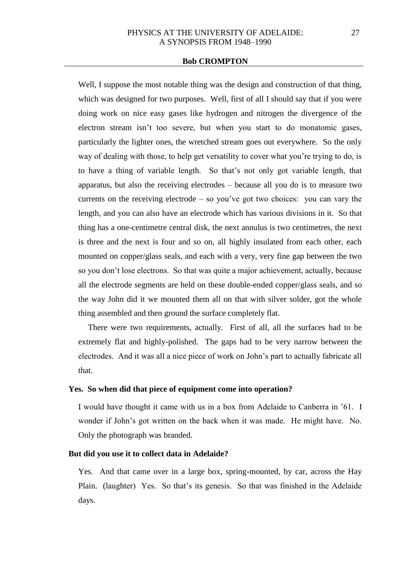Well, I suppose the most notable thing was the design and construction of that thing, which was designed for two purposes. Well, first of all I should say that if you were doing work on nice easy gases like hydrogen and nitrogen the divergence of the electron stream isn't too severe, but when you start to do monatomic gases, particularly the lighter ones, the wretched stream goes out everywhere. So the only way of dealing with those, to help get versatility to cover what you're trying to do, is to have a thing of variable length. So that's not only got variable length, that apparatus, but also the receiving electrodes – because all you do is to measure two currents on the receiving electrode – so you've got two choices: you can vary the length, and you can also have an electrode which has various divisions in it. So that thing has a one-centimetre central disk, the next annulus is two centimetres, the next is three and the next is four and so on, all highly insulated from each other, each mounted on copper/glass seals, and each with a very, very fine gap between the two so you don't lose electrons. So that was quite a major achievement, actually, because all the electrode segments are held on these double-ended copper/glass seals, and so the way John did it we mounted them all on that with silver solder, got the whole thing assembled and then ground the surface completely flat.

There were two requirements, actually. First of all, all the surfaces had to be extremely flat and highly-polished. The gaps had to be very narrow between the electrodes. And it was all a nice piece of work on John's part to actually fabricate all that.

## **Yes. So when did that piece of equipment come into operation?**

I would have thought it came with us in a box from Adelaide to Canberra in '61. I wonder if John's got written on the back when it was made. He might have. No. Only the photograph was branded.

## **But did you use it to collect data in Adelaide?**

Yes. And that came over in a large box, spring-mounted, by car, across the Hay Plain. (laughter) Yes. So that's its genesis. So that was finished in the Adelaide days.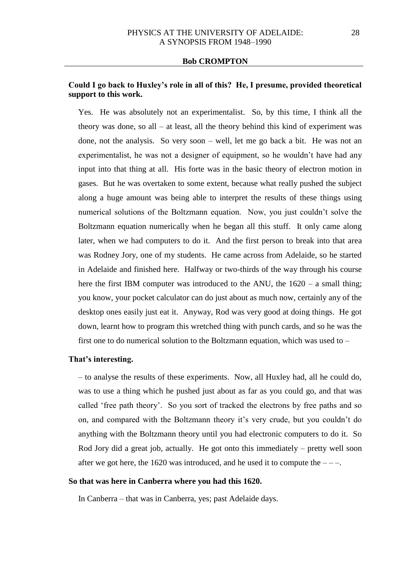# **Could I go back to Huxley's role in all of this? He, I presume, provided theoretical support to this work.**

Yes. He was absolutely not an experimentalist. So, by this time, I think all the theory was done, so all – at least, all the theory behind this kind of experiment was done, not the analysis. So very soon – well, let me go back a bit. He was not an experimentalist, he was not a designer of equipment, so he wouldn't have had any input into that thing at all. His forte was in the basic theory of electron motion in gases. But he was overtaken to some extent, because what really pushed the subject along a huge amount was being able to interpret the results of these things using numerical solutions of the Boltzmann equation. Now, you just couldn't solve the Boltzmann equation numerically when he began all this stuff. It only came along later, when we had computers to do it. And the first person to break into that area was Rodney Jory, one of my students. He came across from Adelaide, so he started in Adelaide and finished here. Halfway or two-thirds of the way through his course here the first IBM computer was introduced to the ANU, the  $1620 - a$  small thing; you know, your pocket calculator can do just about as much now, certainly any of the desktop ones easily just eat it. Anyway, Rod was very good at doing things. He got down, learnt how to program this wretched thing with punch cards, and so he was the first one to do numerical solution to the Boltzmann equation, which was used to –

## **That's interesting.**

– to analyse the results of these experiments. Now, all Huxley had, all he could do, was to use a thing which he pushed just about as far as you could go, and that was called 'free path theory'. So you sort of tracked the electrons by free paths and so on, and compared with the Boltzmann theory it's very crude, but you couldn't do anything with the Boltzmann theory until you had electronic computers to do it. So Rod Jory did a great job, actually. He got onto this immediately – pretty well soon after we got here, the 1620 was introduced, and he used it to compute the  $---$ .

### **So that was here in Canberra where you had this 1620.**

In Canberra – that was in Canberra, yes; past Adelaide days.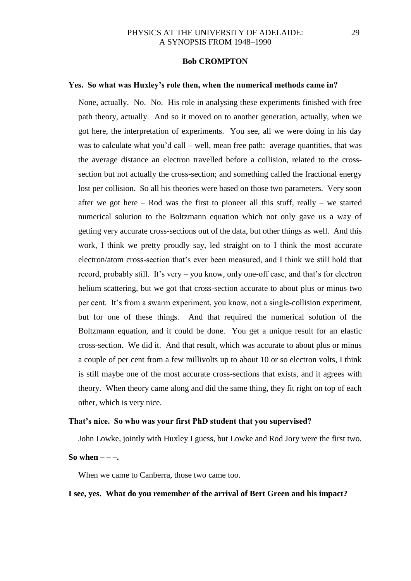### **Yes. So what was Huxley's role then, when the numerical methods came in?**

None, actually. No. No. His role in analysing these experiments finished with free path theory, actually. And so it moved on to another generation, actually, when we got here, the interpretation of experiments. You see, all we were doing in his day was to calculate what you'd call – well, mean free path: average quantities, that was the average distance an electron travelled before a collision, related to the crosssection but not actually the cross-section; and something called the fractional energy lost per collision. So all his theories were based on those two parameters. Very soon after we got here – Rod was the first to pioneer all this stuff, really – we started numerical solution to the Boltzmann equation which not only gave us a way of getting very accurate cross-sections out of the data, but other things as well. And this work, I think we pretty proudly say, led straight on to I think the most accurate electron/atom cross-section that's ever been measured, and I think we still hold that record, probably still. It's very – you know, only one-off case, and that's for electron helium scattering, but we got that cross-section accurate to about plus or minus two per cent. It's from a swarm experiment, you know, not a single-collision experiment, but for one of these things. And that required the numerical solution of the Boltzmann equation, and it could be done. You get a unique result for an elastic cross-section. We did it. And that result, which was accurate to about plus or minus a couple of per cent from a few millivolts up to about 10 or so electron volts, I think is still maybe one of the most accurate cross-sections that exists, and it agrees with theory. When theory came along and did the same thing, they fit right on top of each other, which is very nice.

## **That's nice. So who was your first PhD student that you supervised?**

John Lowke, jointly with Huxley I guess, but Lowke and Rod Jory were the first two.

## So when  $-\frac{1}{2}$

When we came to Canberra, those two came too.

## **I see, yes. What do you remember of the arrival of Bert Green and his impact?**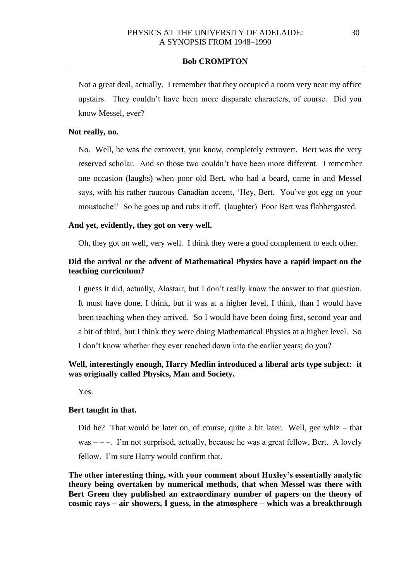Not a great deal, actually. I remember that they occupied a room very near my office upstairs. They couldn't have been more disparate characters, of course. Did you know Messel, ever?

## **Not really, no.**

No. Well, he was the extrovert, you know, completely extrovert. Bert was the very reserved scholar. And so those two couldn't have been more different. I remember one occasion (laughs) when poor old Bert, who had a beard, came in and Messel says, with his rather raucous Canadian accent, 'Hey, Bert. You've got egg on your moustache!' So he goes up and rubs it off. (laughter) Poor Bert was flabbergasted.

# **And yet, evidently, they got on very well.**

Oh, they got on well, very well. I think they were a good complement to each other.

# **Did the arrival or the advent of Mathematical Physics have a rapid impact on the teaching curriculum?**

I guess it did, actually, Alastair, but I don't really know the answer to that question. It must have done, I think, but it was at a higher level, I think, than I would have been teaching when they arrived. So I would have been doing first, second year and a bit of third, but I think they were doing Mathematical Physics at a higher level. So I don't know whether they ever reached down into the earlier years; do you?

# **Well, interestingly enough, Harry Medlin introduced a liberal arts type subject: it was originally called Physics, Man and Society.**

Yes.

### **Bert taught in that.**

Did he? That would be later on, of course, quite a bit later. Well, gee whiz – that was  $---$ . I'm not surprised, actually, because he was a great fellow, Bert. A lovely fellow. I'm sure Harry would confirm that.

**The other interesting thing, with your comment about Huxley's essentially analytic theory being overtaken by numerical methods, that when Messel was there with Bert Green they published an extraordinary number of papers on the theory of cosmic rays – air showers, I guess, in the atmosphere – which was a breakthrough**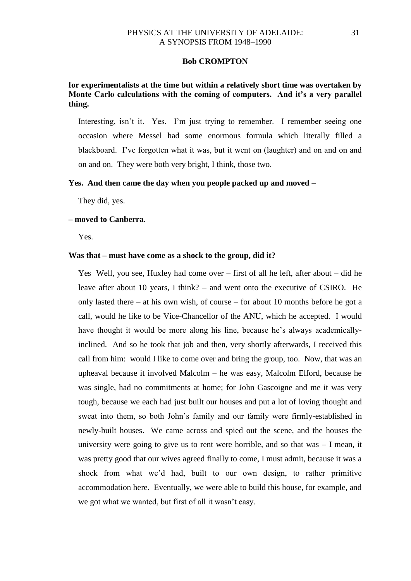# **for experimentalists at the time but within a relatively short time was overtaken by Monte Carlo calculations with the coming of computers. And it's a very parallel thing.**

Interesting, isn't it. Yes. I'm just trying to remember. I remember seeing one occasion where Messel had some enormous formula which literally filled a blackboard. I've forgotten what it was, but it went on (laughter) and on and on and on and on. They were both very bright, I think, those two.

### **Yes. And then came the day when you people packed up and moved –**

They did, yes.

## **– moved to Canberra.**

Yes.

## **Was that – must have come as a shock to the group, did it?**

Yes Well, you see, Huxley had come over – first of all he left, after about – did he leave after about 10 years, I think? – and went onto the executive of CSIRO. He only lasted there – at his own wish, of course – for about 10 months before he got a call, would he like to be Vice-Chancellor of the ANU, which he accepted. I would have thought it would be more along his line, because he's always academicallyinclined. And so he took that job and then, very shortly afterwards, I received this call from him: would I like to come over and bring the group, too. Now, that was an upheaval because it involved Malcolm – he was easy, Malcolm Elford, because he was single, had no commitments at home; for John Gascoigne and me it was very tough, because we each had just built our houses and put a lot of loving thought and sweat into them, so both John's family and our family were firmly-established in newly-built houses. We came across and spied out the scene, and the houses the university were going to give us to rent were horrible, and so that was  $-1$  mean, it was pretty good that our wives agreed finally to come, I must admit, because it was a shock from what we'd had, built to our own design, to rather primitive accommodation here. Eventually, we were able to build this house, for example, and we got what we wanted, but first of all it wasn't easy.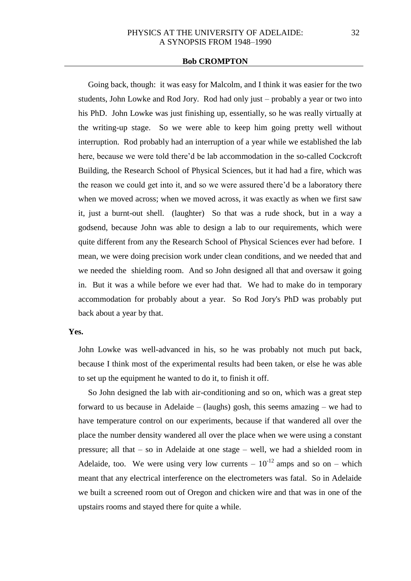Going back, though: it was easy for Malcolm, and I think it was easier for the two students, John Lowke and Rod Jory. Rod had only just – probably a year or two into his PhD. John Lowke was just finishing up, essentially, so he was really virtually at the writing-up stage. So we were able to keep him going pretty well without interruption. Rod probably had an interruption of a year while we established the lab here, because we were told there'd be lab accommodation in the so-called Cockcroft Building, the Research School of Physical Sciences, but it had had a fire, which was the reason we could get into it, and so we were assured there'd be a laboratory there when we moved across; when we moved across, it was exactly as when we first saw it, just a burnt-out shell. (laughter) So that was a rude shock, but in a way a godsend, because John was able to design a lab to our requirements, which were quite different from any the Research School of Physical Sciences ever had before. I mean, we were doing precision work under clean conditions, and we needed that and we needed the shielding room. And so John designed all that and oversaw it going in. But it was a while before we ever had that. We had to make do in temporary accommodation for probably about a year. So Rod Jory's PhD was probably put back about a year by that.

### **Yes.**

John Lowke was well-advanced in his, so he was probably not much put back, because I think most of the experimental results had been taken, or else he was able to set up the equipment he wanted to do it, to finish it off.

So John designed the lab with air-conditioning and so on, which was a great step forward to us because in Adelaide – (laughs) gosh, this seems amazing – we had to have temperature control on our experiments, because if that wandered all over the place the number density wandered all over the place when we were using a constant pressure; all that – so in Adelaide at one stage – well, we had a shielded room in Adelaide, too. We were using very low currents  $-10^{-12}$  amps and so on – which meant that any electrical interference on the electrometers was fatal. So in Adelaide we built a screened room out of Oregon and chicken wire and that was in one of the upstairs rooms and stayed there for quite a while.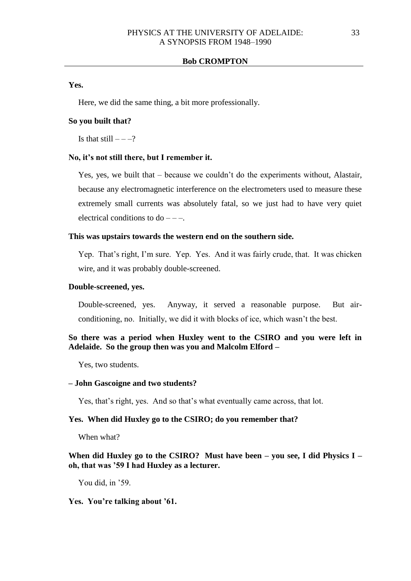## **Yes.**

Here, we did the same thing, a bit more professionally.

## **So you built that?**

Is that still  $---?$ 

### **No, it's not still there, but I remember it.**

Yes, yes, we built that – because we couldn't do the experiments without, Alastair, because any electromagnetic interference on the electrometers used to measure these extremely small currents was absolutely fatal, so we just had to have very quiet electrical conditions to  $do --$ .

#### **This was upstairs towards the western end on the southern side.**

Yep. That's right, I'm sure. Yep. Yes. And it was fairly crude, that. It was chicken wire, and it was probably double-screened.

## **Double-screened, yes.**

Double-screened, yes. Anyway, it served a reasonable purpose. But airconditioning, no. Initially, we did it with blocks of ice, which wasn't the best.

# **So there was a period when Huxley went to the CSIRO and you were left in Adelaide. So the group then was you and Malcolm Elford –**

Yes, two students.

#### **– John Gascoigne and two students?**

Yes, that's right, yes. And so that's what eventually came across, that lot.

## **Yes. When did Huxley go to the CSIRO; do you remember that?**

When what?

## **When did Huxley go to the CSIRO? Must have been – you see, I did Physics I – oh, that was '59 I had Huxley as a lecturer.**

You did, in '59.

## **Yes. You're talking about '61.**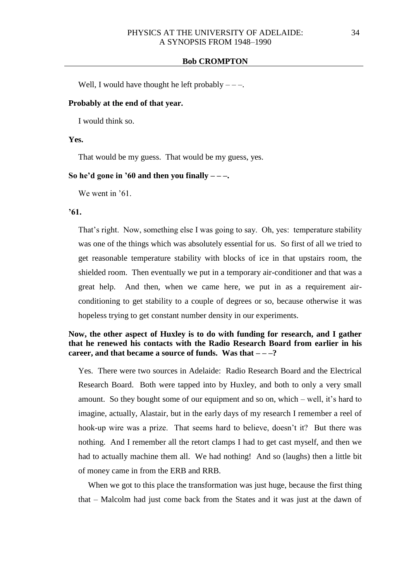Well, I would have thought he left probably  $---$ .

## **Probably at the end of that year.**

I would think so.

## **Yes.**

That would be my guess. That would be my guess, yes.

#### So he'd gone in '60 and then you finally  $---$

We went in '61.

## **'61.**

That's right. Now, something else I was going to say. Oh, yes: temperature stability was one of the things which was absolutely essential for us. So first of all we tried to get reasonable temperature stability with blocks of ice in that upstairs room, the shielded room. Then eventually we put in a temporary air-conditioner and that was a great help. And then, when we came here, we put in as a requirement airconditioning to get stability to a couple of degrees or so, because otherwise it was hopeless trying to get constant number density in our experiments.

# **Now, the other aspect of Huxley is to do with funding for research, and I gather that he renewed his contacts with the Radio Research Board from earlier in his career, and that became a source of funds. Was that – – –?**

Yes. There were two sources in Adelaide: Radio Research Board and the Electrical Research Board. Both were tapped into by Huxley, and both to only a very small amount. So they bought some of our equipment and so on, which – well, it's hard to imagine, actually, Alastair, but in the early days of my research I remember a reel of hook-up wire was a prize. That seems hard to believe, doesn't it? But there was nothing. And I remember all the retort clamps I had to get cast myself, and then we had to actually machine them all. We had nothing! And so (laughs) then a little bit of money came in from the ERB and RRB.

When we got to this place the transformation was just huge, because the first thing that – Malcolm had just come back from the States and it was just at the dawn of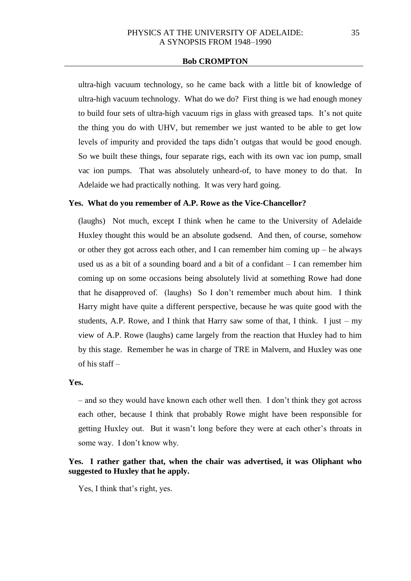ultra-high vacuum technology, so he came back with a little bit of knowledge of ultra-high vacuum technology. What do we do? First thing is we had enough money to build four sets of ultra-high vacuum rigs in glass with greased taps. It's not quite the thing you do with UHV, but remember we just wanted to be able to get low levels of impurity and provided the taps didn't outgas that would be good enough. So we built these things, four separate rigs, each with its own vac ion pump, small vac ion pumps. That was absolutely unheard-of, to have money to do that. In Adelaide we had practically nothing. It was very hard going.

### **Yes. What do you remember of A.P. Rowe as the Vice-Chancellor?**

(laughs) Not much, except I think when he came to the University of Adelaide Huxley thought this would be an absolute godsend. And then, of course, somehow or other they got across each other, and I can remember him coming  $up$  – he always used us as a bit of a sounding board and a bit of a confidant – I can remember him coming up on some occasions being absolutely livid at something Rowe had done that he disapproved of. (laughs) So I don't remember much about him. I think Harry might have quite a different perspective, because he was quite good with the students, A.P. Rowe, and I think that Harry saw some of that, I think. I just  $-$  my view of A.P. Rowe (laughs) came largely from the reaction that Huxley had to him by this stage. Remember he was in charge of TRE in Malvern, and Huxley was one of his staff –

## **Yes.**

– and so they would have known each other well then. I don't think they got across each other, because I think that probably Rowe might have been responsible for getting Huxley out. But it wasn't long before they were at each other's throats in some way. I don't know why.

# **Yes. I rather gather that, when the chair was advertised, it was Oliphant who suggested to Huxley that he apply.**

Yes, I think that's right, yes.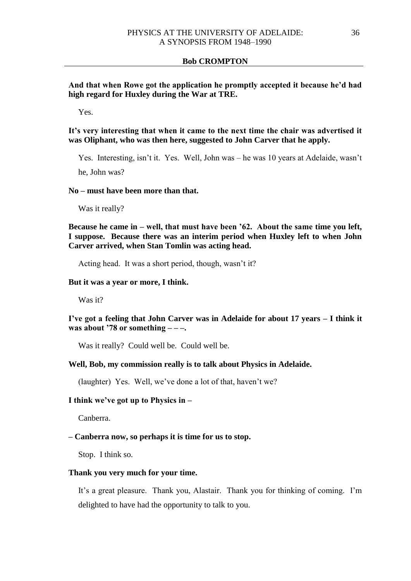**And that when Rowe got the application he promptly accepted it because he'd had high regard for Huxley during the War at TRE.**

Yes.

**It's very interesting that when it came to the next time the chair was advertised it was Oliphant, who was then here, suggested to John Carver that he apply.**

Yes. Interesting, isn't it. Yes. Well, John was – he was 10 years at Adelaide, wasn't he, John was?

### **No – must have been more than that.**

Was it really?

**Because he came in – well, that must have been '62. About the same time you left, I suppose. Because there was an interim period when Huxley left to when John Carver arrived, when Stan Tomlin was acting head.**

Acting head. It was a short period, though, wasn't it?

### **But it was a year or more, I think.**

Was it?

# **I've got a feeling that John Carver was in Adelaide for about 17 years – I think it was about '78 or something – – –.**

Was it really? Could well be. Could well be.

#### **Well, Bob, my commission really is to talk about Physics in Adelaide.**

(laughter) Yes. Well, we've done a lot of that, haven't we?

### **I think we've got up to Physics in –**

Canberra.

## **– Canberra now, so perhaps it is time for us to stop.**

Stop. I think so.

## **Thank you very much for your time.**

It's a great pleasure. Thank you, Alastair. Thank you for thinking of coming. I'm delighted to have had the opportunity to talk to you.